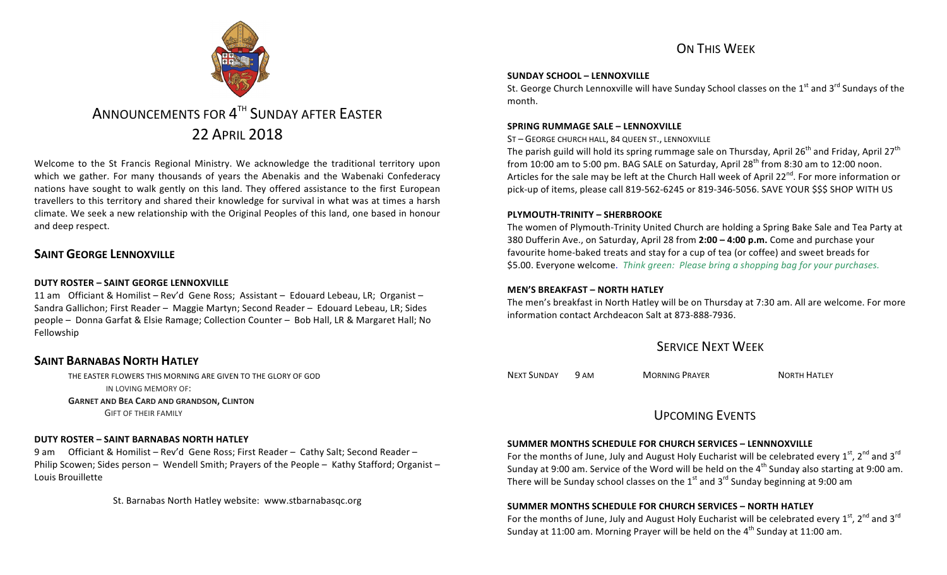# ON THIS WFFK

#### **SUNDAY SCHOOL – LENNOXVILLE**

St. George Church Lennoxville will have Sunday School classes on the  $1<sup>st</sup>$  and  $3<sup>rd</sup>$  Sundays of the month.

#### **SPRING RUMMAGE SALE – LENNOXVILLE**

ST - GEORGE CHURCH HALL, 84 QUEEN ST., LENNOXVILLE

The parish guild will hold its spring rummage sale on Thursday, April 26<sup>th</sup> and Friday, April 27<sup>th</sup> from 10:00 am to 5:00 pm. BAG SALE on Saturday, April  $28<sup>th</sup>$  from 8:30 am to 12:00 noon. Articles for the sale may be left at the Church Hall week of April 22<sup>nd</sup>. For more information or pick-up of items, please call 819-562-6245 or 819-346-5056. SAVE YOUR \$\$\$ SHOP WITH US

#### **PLYMOUTH-TRINITY – SHERBROOKE**

The women of Plymouth-Trinity United Church are holding a Spring Bake Sale and Tea Party at 380 Dufferin Ave., on Saturday, April 28 from 2:00 - 4:00 p.m. Come and purchase your favourite home-baked treats and stay for a cup of tea (or coffee) and sweet breads for \$5.00. Everyone welcome. *Think green: Please bring a shopping bag for your purchases.* 

#### **MEN'S BREAKFAST – NORTH HATLEY**

The men's breakfast in North Hatley will be on Thursday at 7:30 am. All are welcome. For more information contact Archdeacon Salt at 873-888-7936.

# **SERVICE NEXT WEFK**

NEXT SUNDAY 9 AM MORNING PRAYER NORTH HATLEY

## UPCOMING EVENTS

## **SUMMER MONTHS SCHEDULE FOR CHURCH SERVICES – LENNNOXVILLE**

For the months of June, July and August Holy Eucharist will be celebrated every  $1<sup>st</sup>$ ,  $2<sup>nd</sup>$  and  $3<sup>rd</sup>$ Sunday at 9:00 am. Service of the Word will be held on the  $4<sup>th</sup>$  Sunday also starting at 9:00 am. There will be Sunday school classes on the  $1<sup>st</sup>$  and  $3<sup>rd</sup>$  Sunday beginning at 9:00 am

#### **SUMMER MONTHS SCHEDULE FOR CHURCH SERVICES – NORTH HATLEY**

For the months of June, July and August Holy Eucharist will be celebrated every  $1^{st}$ ,  $2^{nd}$  and  $3^{rd}$ Sunday at 11:00 am. Morning Prayer will be held on the  $4<sup>th</sup>$  Sunday at 11:00 am.



# ANNOUNCEMENTS FOR 4<sup>TH</sup> SUNDAY AFTER EASTER 22 APRIL 2018

Welcome to the St Francis Regional Ministry. We acknowledge the traditional territory upon which we gather. For many thousands of years the Abenakis and the Wabenaki Confederacy nations have sought to walk gently on this land. They offered assistance to the first European travellers to this territory and shared their knowledge for survival in what was at times a harsh climate. We seek a new relationship with the Original Peoples of this land, one based in honour and deep respect.

## **SAINT GEORGE LENNOXVILLE**

#### **DUTY ROSTER – SAINT GEORGE LENNOXVILLE**

11 am Officiant & Homilist – Rev'd Gene Ross; Assistant – Edouard Lebeau, LR; Organist – Sandra Gallichon; First Reader - Maggie Martyn; Second Reader - Edouard Lebeau, LR; Sides people - Donna Garfat & Elsie Ramage; Collection Counter - Bob Hall, LR & Margaret Hall; No Fellowship

## **SAINT BARNABAS NORTH HATLEY**

THE EASTER FLOWERS THIS MORNING ARE GIVEN TO THE GLORY OF GOD IN LOVING MEMORY OF: **GARNET AND BEA CARD AND GRANDSON, CLINTON** 

**GIFT OF THEIR FAMILY** 

#### **DUTY ROSTER – SAINT BARNABAS NORTH HATLEY**

9 am Officiant & Homilist – Rev'd Gene Ross; First Reader – Cathy Salt; Second Reader – Philip Scowen; Sides person – Wendell Smith; Prayers of the People – Kathy Stafford; Organist – Louis Brouillette

St. Barnabas North Hatley website: www.stbarnabasqc.org